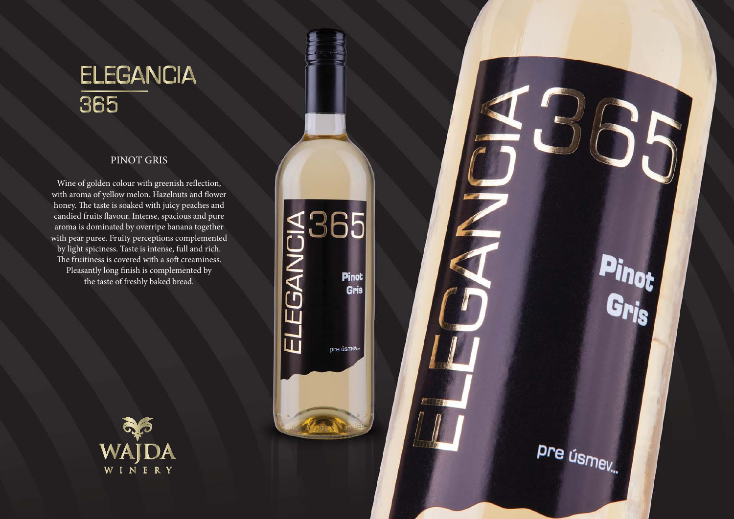## **ELEGANCIA** 365

## PINOT GRIS

Wine of golden colour with greenish reflection, with aroma of yellow melon. Hazelnuts and flower honey. The taste is soaked with juicy peaches and candied fruits flavour. Intense, spacious and pure aroma is dominated by overripe banana together with pear puree. Fruity perceptions complemented by light spiciness. Taste is intense, full and rich. The fruitiness is covered with a soft creaminess. Pleasantly long finish is complemented by the taste of freshly baked bread.